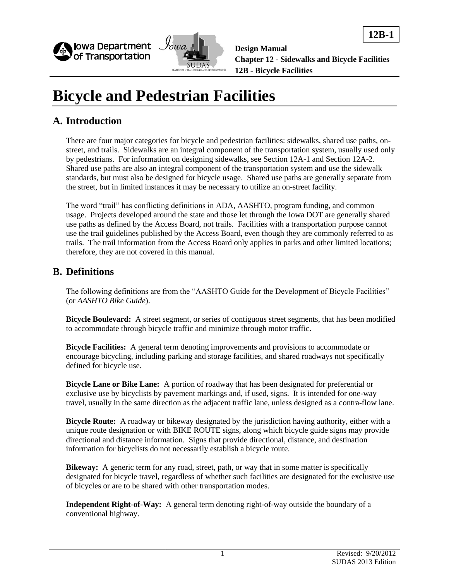



**12B-1**

# **Bicycle and Pedestrian Facilities**

### **A. Introduction**

There are four major categories for bicycle and pedestrian facilities: sidewalks, shared use paths, onstreet, and trails. Sidewalks are an integral component of the transportation system, usually used only by pedestrians. For information on designing sidewalks, see Section 12A-1 and Section 12A-2. Shared use paths are also an integral component of the transportation system and use the sidewalk standards, but must also be designed for bicycle usage. Shared use paths are generally separate from the street, but in limited instances it may be necessary to utilize an on-street facility.

The word "trail" has conflicting definitions in ADA, AASHTO, program funding, and common usage. Projects developed around the state and those let through the Iowa DOT are generally shared use paths as defined by the Access Board, not trails. Facilities with a transportation purpose cannot use the trail guidelines published by the Access Board, even though they are commonly referred to as trails. The trail information from the Access Board only applies in parks and other limited locations; therefore, they are not covered in this manual.

### **B. Definitions**

The following definitions are from the "AASHTO Guide for the Development of Bicycle Facilities" (or *AASHTO Bike Guide*).

**Bicycle Boulevard:** A street segment, or series of contiguous street segments, that has been modified to accommodate through bicycle traffic and minimize through motor traffic.

**Bicycle Facilities:** A general term denoting improvements and provisions to accommodate or encourage bicycling, including parking and storage facilities, and shared roadways not specifically defined for bicycle use.

**Bicycle Lane or Bike Lane:** A portion of roadway that has been designated for preferential or exclusive use by bicyclists by pavement markings and, if used, signs. It is intended for one-way travel, usually in the same direction as the adjacent traffic lane, unless designed as a contra-flow lane.

**Bicycle Route:** A roadway or bikeway designated by the jurisdiction having authority, either with a unique route designation or with BIKE ROUTE signs, along which bicycle guide signs may provide directional and distance information. Signs that provide directional, distance, and destination information for bicyclists do not necessarily establish a bicycle route.

**Bikeway:** A generic term for any road, street, path, or way that in some matter is specifically designated for bicycle travel, regardless of whether such facilities are designated for the exclusive use of bicycles or are to be shared with other transportation modes.

**Independent Right-of-Way:** A general term denoting right-of-way outside the boundary of a conventional highway.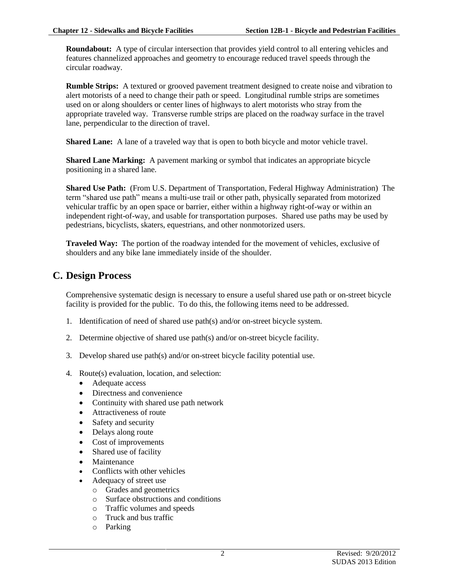**Roundabout:** A type of circular intersection that provides yield control to all entering vehicles and features channelized approaches and geometry to encourage reduced travel speeds through the circular roadway.

**Rumble Strips:** A textured or grooved pavement treatment designed to create noise and vibration to alert motorists of a need to change their path or speed. Longitudinal rumble strips are sometimes used on or along shoulders or center lines of highways to alert motorists who stray from the appropriate traveled way. Transverse rumble strips are placed on the roadway surface in the travel lane, perpendicular to the direction of travel.

**Shared Lane:** A lane of a traveled way that is open to both bicycle and motor vehicle travel.

**Shared Lane Marking:** A pavement marking or symbol that indicates an appropriate bicycle positioning in a shared lane.

**Shared Use Path:** (From U.S. Department of Transportation, Federal Highway Administration) The term "shared use path" means a multi-use trail or other path, physically separated from motorized vehicular traffic by an open space or barrier, either within a highway right-of-way or within an independent right-of-way, and usable for transportation purposes. Shared use paths may be used by pedestrians, bicyclists, skaters, equestrians, and other nonmotorized users.

**Traveled Way:** The portion of the roadway intended for the movement of vehicles, exclusive of shoulders and any bike lane immediately inside of the shoulder.

### **C. Design Process**

Comprehensive systematic design is necessary to ensure a useful shared use path or on-street bicycle facility is provided for the public. To do this, the following items need to be addressed.

- 1. Identification of need of shared use path(s) and/or on-street bicycle system.
- 2. Determine objective of shared use path(s) and/or on-street bicycle facility.
- 3. Develop shared use path(s) and/or on-street bicycle facility potential use.
- 4. Route(s) evaluation, location, and selection:
	- Adequate access
	- Directness and convenience
	- Continuity with shared use path network
	- Attractiveness of route
	- Safety and security
	- Delays along route
	- Cost of improvements
	- Shared use of facility
	- Maintenance
	- Conflicts with other vehicles
		- Adequacy of street use
			- o Grades and geometrics
			- o Surface obstructions and conditions
			- o Traffic volumes and speeds
			- o Truck and bus traffic
			- o Parking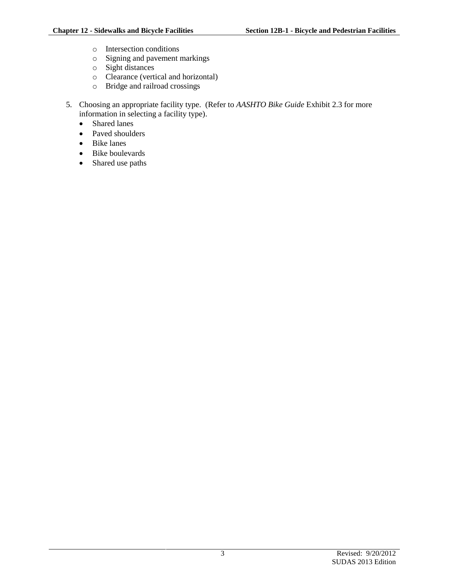- o Intersection conditions
- o Signing and pavement markings
- o Sight distances
- o Clearance (vertical and horizontal)
- o Bridge and railroad crossings
- 5. Choosing an appropriate facility type. (Refer to *AASHTO Bike Guide* Exhibit 2.3 for more information in selecting a facility type).
	- Shared lanes
	- Paved shoulders
	- Bike lanes
	- Bike boulevards
	- Shared use paths